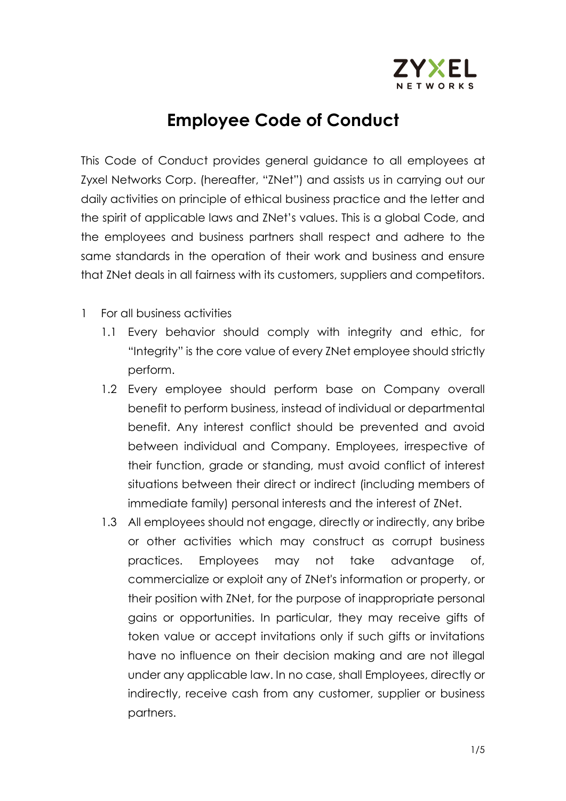

## **Employee Code of Conduct**

This Code of Conduct provides general guidance to all employees at Zyxel Networks Corp. (hereafter, "ZNet") and assists us in carrying out our daily activities on principle of ethical business practice and the letter and the spirit of applicable laws and ZNet's values. This is a global Code, and the employees and business partners shall respect and adhere to the same standards in the operation of their work and business and ensure that ZNet deals in all fairness with its customers, suppliers and competitors.

- 1 For all business activities
	- 1.1 Every behavior should comply with integrity and ethic, for "Integrity" is the core value of every ZNet employee should strictly perform.
	- 1.2 Every employee should perform base on Company overall benefit to perform business, instead of individual or departmental benefit. Any interest conflict should be prevented and avoid between individual and Company. Employees, irrespective of their function, grade or standing, must avoid conflict of interest situations between their direct or indirect (including members of immediate family) personal interests and the interest of ZNet.
	- 1.3 All employees should not engage, directly or indirectly, any bribe or other activities which may construct as corrupt business practices. Employees may not take advantage of, commercialize or exploit any of ZNet's information or property, or their position with ZNet, for the purpose of inappropriate personal gains or opportunities. In particular, they may receive gifts of token value or accept invitations only if such gifts or invitations have no influence on their decision making and are not illegal under any applicable law. In no case, shall Employees, directly or indirectly, receive cash from any customer, supplier or business partners.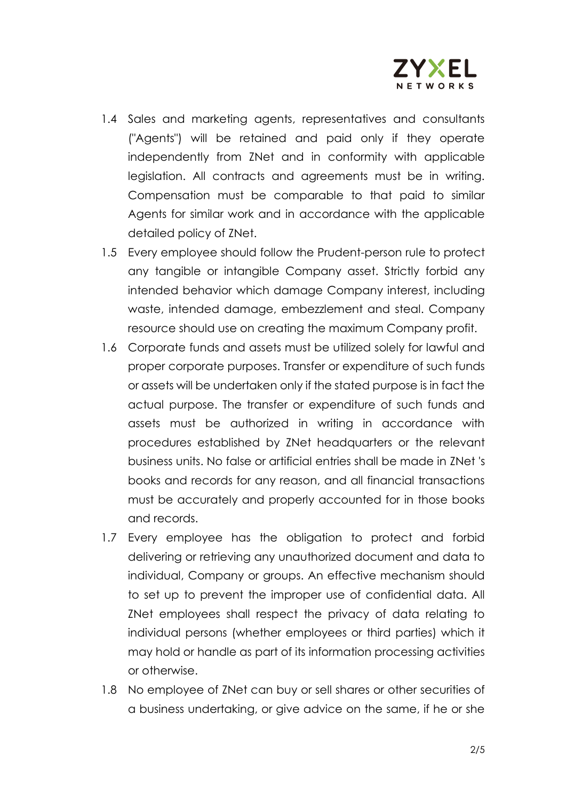

- 1.4 Sales and marketing agents, representatives and consultants ("Agents") will be retained and paid only if they operate independently from ZNet and in conformity with applicable legislation. All contracts and agreements must be in writing. Compensation must be comparable to that paid to similar Agents for similar work and in accordance with the applicable detailed policy of ZNet.
- 1.5 Every employee should follow the Prudent-person rule to protect any tangible or intangible Company asset. Strictly forbid any intended behavior which damage Company interest, including waste, intended damage, embezzlement and steal. Company resource should use on creating the maximum Company profit.
- 1.6 Corporate funds and assets must be utilized solely for lawful and proper corporate purposes. Transfer or expenditure of such funds or assets will be undertaken only if the stated purpose is in fact the actual purpose. The transfer or expenditure of such funds and assets must be authorized in writing in accordance with procedures established by ZNet headquarters or the relevant business units. No false or artificial entries shall be made in ZNet 's books and records for any reason, and all financial transactions must be accurately and properly accounted for in those books and records.
- 1.7 Every employee has the obligation to protect and forbid delivering or retrieving any unauthorized document and data to individual, Company or groups. An effective mechanism should to set up to prevent the improper use of confidential data. All ZNet employees shall respect the privacy of data relating to individual persons (whether employees or third parties) which it may hold or handle as part of its information processing activities or otherwise.
- 1.8 No employee of ZNet can buy or sell shares or other securities of a business undertaking, or give advice on the same, if he or she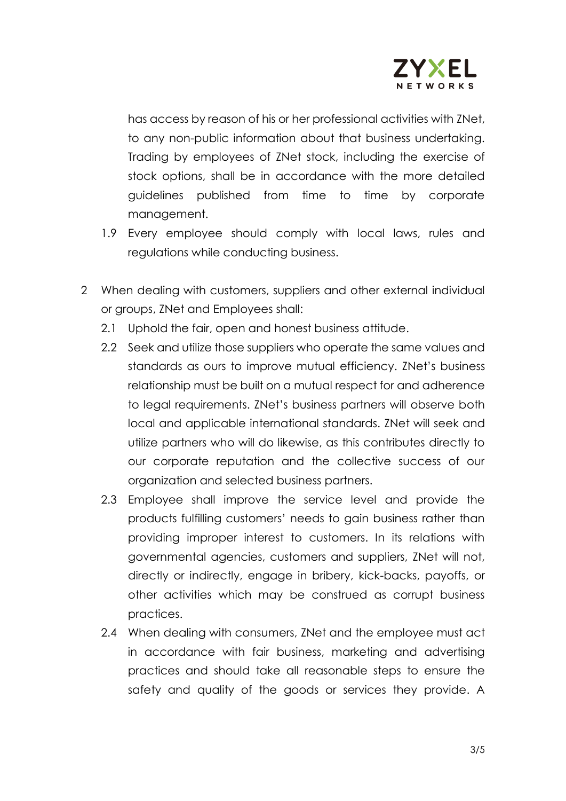

has access by reason of his or her professional activities with ZNet, to any non-public information about that business undertaking. Trading by employees of ZNet stock, including the exercise of stock options, shall be in accordance with the more detailed guidelines published from time to time by corporate management.

- 1.9 Every employee should comply with local laws, rules and regulations while conducting business.
- 2 When dealing with customers, suppliers and other external individual or groups, ZNet and Employees shall:
	- 2.1 Uphold the fair, open and honest business attitude.
	- 2.2 Seek and utilize those suppliers who operate the same values and standards as ours to improve mutual efficiency. ZNet's business relationship must be built on a mutual respect for and adherence to legal requirements. ZNet's business partners will observe both local and applicable international standards. ZNet will seek and utilize partners who will do likewise, as this contributes directly to our corporate reputation and the collective success of our organization and selected business partners.
	- 2.3 Employee shall improve the service level and provide the products fulfilling customers' needs to gain business rather than providing improper interest to customers. In its relations with governmental agencies, customers and suppliers, ZNet will not, directly or indirectly, engage in bribery, kick-backs, payoffs, or other activities which may be construed as corrupt business practices.
	- 2.4 When dealing with consumers, ZNet and the employee must act in accordance with fair business, marketing and advertising practices and should take all reasonable steps to ensure the safety and quality of the goods or services they provide. A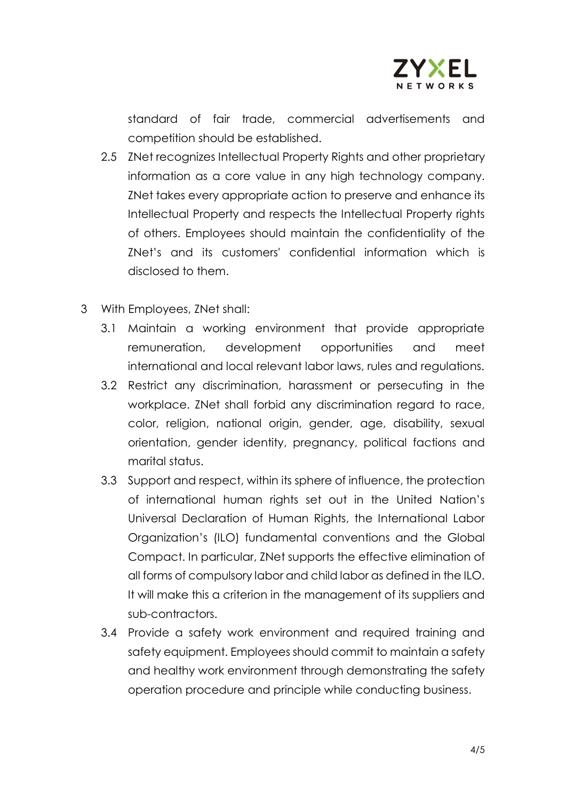

standard of fair trade, commercial advertisements and competition should be established.

- 2.5 ZNet recognizes Intellectual Property Rights and other proprietary information as a core value in any high technology company. ZNet takes every appropriate action to preserve and enhance its Intellectual Property and respects the Intellectual Property rights of others. Employees should maintain the confidentiality of the ZNet's and its customers' confidential information which is disclosed to them.
- 3 With Employees, ZNet shall:
	- 3.1 Maintain a working environment that provide appropriate remuneration, development opportunities and meet international and local relevant labor laws, rules and regulations.
	- 3.2 Restrict any discrimination, harassment or persecuting in the workplace. ZNet shall forbid any discrimination regard to race, color, religion, national origin, gender, age, disability, sexual orientation, gender identity, pregnancy, political factions and marital status.
	- 3.3 Support and respect, within its sphere of influence, the protection of international human rights set out in the United Nation's Universal Declaration of Human Rights, the International Labor Organization's (ILO) fundamental conventions and the Global Compact. In particular, ZNet supports the effective elimination of all forms of compulsory labor and child labor as defined in the ILO. It will make this a criterion in the management of its suppliers and sub-contractors.
	- 3.4 Provide a safety work environment and required training and safety equipment. Employees should commit to maintain a safety and healthy work environment through demonstrating the safety operation procedure and principle while conducting business.